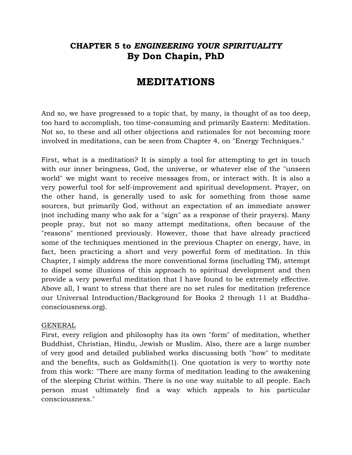# **CHAPTER 5 to** *ENGINEERING YOUR SPIRITUALITY* **By Don Chapin, PhD**

# **MEDITATIONS**

And so, we have progressed to a topic that, by many, is thought of as too deep, too hard to accomplish, too time-consuming and primarily Eastern: Meditation. Not so, to these and all other objections and rationales for not becoming more involved in meditations, can be seen from Chapter 4, on "Energy Techniques."

First, what is a meditation? It is simply a tool for attempting to get in touch with our inner beingness, God, the universe, or whatever else of the "unseen world" we might want to receive messages from, or interact with. It is also a very powerful tool for self-improvement and spiritual development. Prayer, on the other hand, is generally used to ask for something from those same sources, but primarily God, without an expectation of an immediate answer (not including many who ask for a "sign" as a response of their prayers). Many people pray, but not so many attempt meditations, often because of the "reasons" mentioned previously. However, those that have already practiced some of the techniques mentioned in the previous Chapter on energy, have, in fact, been practicing a short and very powerful form of meditation. In this Chapter, I simply address the more conventional forms (including TM), attempt to dispel some illusions of this approach to spiritual development and then provide a very powerful meditation that I have found to be extremely effective. Above all, I want to stress that there are no set rules for meditation (reference our Universal Introduction/Background for Books 2 through 11 at Buddhaconsciousness.org).

#### GENERAL

First, every religion and philosophy has its own "form" of meditation, whether Buddhist, Christian, Hindu, Jewish or Muslim. Also, there are a large number of very good and detailed published works discussing both "how" to meditate and the benefits, such as Goldsmith(1). One quotation is very to worthy note from this work: "There are many forms of meditation leading to the awakening of the sleeping Christ within. There is no one way suitable to all people. Each person must ultimately find a way which appeals to his particular consciousness."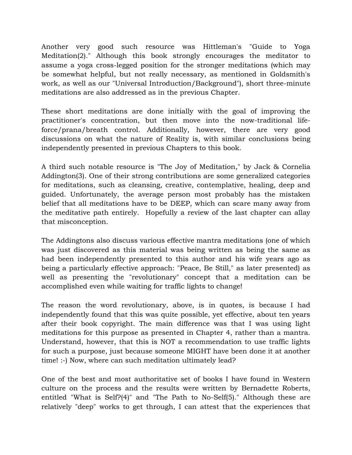Another very good such resource was Hittleman's "Guide to Yoga Meditation(2)." Although this book strongly encourages the meditator to assume a yoga cross-legged position for the stronger meditations (which may be somewhat helpful, but not really necessary, as mentioned in Goldsmith's work, as well as our "Universal Introduction/Background"), short three-minute meditations are also addressed as in the previous Chapter.

These short meditations are done initially with the goal of improving the practitioner's concentration, but then move into the now-traditional lifeforce/prana/breath control. Additionally, however, there are very good discussions on what the nature of Reality is, with similar conclusions being independently presented in previous Chapters to this book.

A third such notable resource is "The Joy of Meditation," by Jack & Cornelia Addington(3). One of their strong contributions are some generalized categories for meditations, such as cleansing, creative, contemplative, healing, deep and guided. Unfortunately, the average person most probably has the mistaken belief that all meditations have to be DEEP, which can scare many away from the meditative path entirely. Hopefully a review of the last chapter can allay that misconception.

The Addingtons also discuss various effective mantra meditations (one of which was just discovered as this material was being written as being the same as had been independently presented to this author and his wife years ago as being a particularly effective approach: "Peace, Be Still," as later presented) as well as presenting the "revolutionary" concept that a meditation can be accomplished even while waiting for traffic lights to change!

The reason the word revolutionary, above, is in quotes, is because I had independently found that this was quite possible, yet effective, about ten years after their book copyright. The main difference was that I was using light meditations for this purpose as presented in Chapter 4, rather than a mantra. Understand, however, that this is NOT a recommendation to use traffic lights for such a purpose, just because someone MIGHT have been done it at another time! :-) Now, where can such meditation ultimately lead?

One of the best and most authoritative set of books I have found in Western culture on the process and the results were written by Bernadette Roberts, entitled "What is Self?(4)" and "The Path to No-Self(5)." Although these are relatively "deep" works to get through, I can attest that the experiences that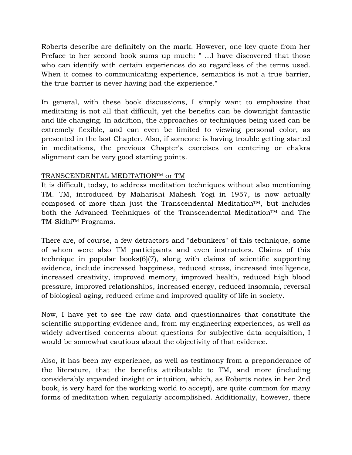Roberts describe are definitely on the mark. However, one key quote from her Preface to her second book sums up much: " ...I have discovered that those who can identify with certain experiences do so regardless of the terms used. When it comes to communicating experience, semantics is not a true barrier, the true barrier is never having had the experience."

In general, with these book discussions, I simply want to emphasize that meditating is not all that difficult, yet the benefits can be downright fantastic and life changing. In addition, the approaches or techniques being used can be extremely flexible, and can even be limited to viewing personal color, as presented in the last Chapter. Also, if someone is having trouble getting started in meditations, the previous Chapter's exercises on centering or chakra alignment can be very good starting points.

#### TRANSCENDENTAL MEDITATION™ or TM

It is difficult, today, to address meditation techniques without also mentioning TM. TM, introduced by Maharishi Mahesh Yogi in 1957, is now actually composed of more than just the Transcendental Meditation<sup> $m$ </sup>, but includes both the Advanced Techniques of the Transcendental Meditation™ and The TM-Sidhi™ Programs.

There are, of course, a few detractors and "debunkers" of this technique, some of whom were also TM participants and even instructors. Claims of this technique in popular books(6)(7), along with claims of scientific supporting evidence, include increased happiness, reduced stress, increased intelligence, increased creativity, improved memory, improved health, reduced high blood pressure, improved relationships, increased energy, reduced insomnia, reversal of biological aging, reduced crime and improved quality of life in society.

Now, I have yet to see the raw data and questionnaires that constitute the scientific supporting evidence and, from my engineering experiences, as well as widely advertised concerns about questions for subjective data acquisition, I would be somewhat cautious about the objectivity of that evidence.

Also, it has been my experience, as well as testimony from a preponderance of the literature, that the benefits attributable to TM, and more (including considerably expanded insight or intuition, which, as Roberts notes in her 2nd book, is very hard for the working world to accept), are quite common for many forms of meditation when regularly accomplished. Additionally, however, there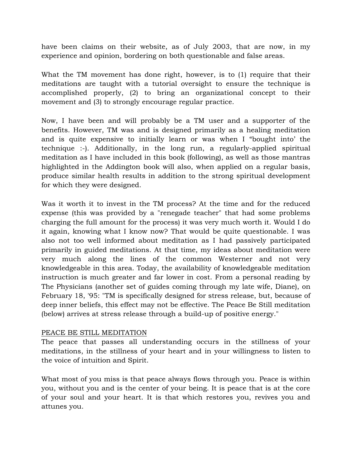have been claims on their website, as of July 2003, that are now, in my experience and opinion, bordering on both questionable and false areas.

What the TM movement has done right, however, is to (1) require that their meditations are taught with a tutorial oversight to ensure the technique is accomplished properly, (2) to bring an organizational concept to their movement and (3) to strongly encourage regular practice.

Now, I have been and will probably be a TM user and a supporter of the benefits. However, TM was and is designed primarily as a healing meditation and is quite expensive to initially learn or was when I "bought into' the technique :-). Additionally, in the long run, a regularly-applied spiritual meditation as I have included in this book (following), as well as those mantras highlighted in the Addington book will also, when applied on a regular basis, produce similar health results in addition to the strong spiritual development for which they were designed.

Was it worth it to invest in the TM process? At the time and for the reduced expense (this was provided by a "renegade teacher" that had some problems charging the full amount for the process) it was very much worth it. Would I do it again, knowing what I know now? That would be quite questionable. I was also not too well informed about meditation as I had passively participated primarily in guided meditations. At that time, my ideas about meditation were very much along the lines of the common Westerner and not very knowledgeable in this area. Today, the availability of knowledgeable meditation instruction is much greater and far lower in cost. From a personal reading by The Physicians (another set of guides coming through my late wife, Diane), on February 18, '95: "TM is specifically designed for stress release, but, because of deep inner beliefs, this effect may not be effective. The Peace Be Still meditation (below) arrives at stress release through a build-up of positive energy."

#### PEACE BE STILL MEDITATION

The peace that passes all understanding occurs in the stillness of your meditations, in the stillness of your heart and in your willingness to listen to the voice of intuition and Spirit.

What most of you miss is that peace always flows through you. Peace is within you, without you and is the center of your being. It is peace that is at the core of your soul and your heart. It is that which restores you, revives you and attunes you.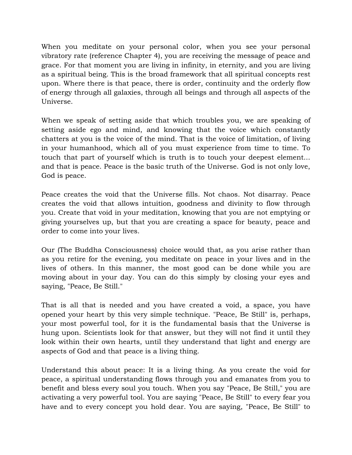When you meditate on your personal color, when you see your personal vibratory rate (reference Chapter 4), you are receiving the message of peace and grace. For that moment you are living in infinity, in eternity, and you are living as a spiritual being. This is the broad framework that all spiritual concepts rest upon. Where there is that peace, there is order, continuity and the orderly flow of energy through all galaxies, through all beings and through all aspects of the Universe.

When we speak of setting aside that which troubles you, we are speaking of setting aside ego and mind, and knowing that the voice which constantly chatters at you is the voice of the mind. That is the voice of limitation, of living in your humanhood, which all of you must experience from time to time. To touch that part of yourself which is truth is to touch your deepest element... and that is peace. Peace is the basic truth of the Universe. God is not only love, God is peace.

Peace creates the void that the Universe fills. Not chaos. Not disarray. Peace creates the void that allows intuition, goodness and divinity to flow through you. Create that void in your meditation, knowing that you are not emptying or giving yourselves up, but that you are creating a space for beauty, peace and order to come into your lives.

Our (The Buddha Consciousness) choice would that, as you arise rather than as you retire for the evening, you meditate on peace in your lives and in the lives of others. In this manner, the most good can be done while you are moving about in your day. You can do this simply by closing your eyes and saying, "Peace, Be Still."

That is all that is needed and you have created a void, a space, you have opened your heart by this very simple technique. "Peace, Be Still" is, perhaps, your most powerful tool, for it is the fundamental basis that the Universe is hung upon. Scientists look for that answer, but they will not find it until they look within their own hearts, until they understand that light and energy are aspects of God and that peace is a living thing.

Understand this about peace: It is a living thing. As you create the void for peace, a spiritual understanding flows through you and emanates from you to benefit and bless every soul you touch. When you say "Peace, Be Still," you are activating a very powerful tool. You are saying "Peace, Be Still" to every fear you have and to every concept you hold dear. You are saying, "Peace, Be Still" to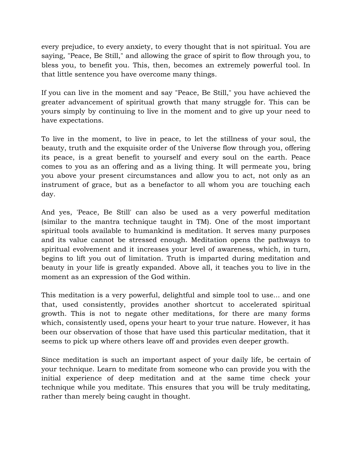every prejudice, to every anxiety, to every thought that is not spiritual. You are saying, "Peace, Be Still," and allowing the grace of spirit to flow through you, to bless you, to benefit you. This, then, becomes an extremely powerful tool. In that little sentence you have overcome many things.

If you can live in the moment and say "Peace, Be Still," you have achieved the greater advancement of spiritual growth that many struggle for. This can be yours simply by continuing to live in the moment and to give up your need to have expectations.

To live in the moment, to live in peace, to let the stillness of your soul, the beauty, truth and the exquisite order of the Universe flow through you, offering its peace, is a great benefit to yourself and every soul on the earth. Peace comes to you as an offering and as a living thing. It will permeate you, bring you above your present circumstances and allow you to act, not only as an instrument of grace, but as a benefactor to all whom you are touching each day.

And yes, 'Peace, Be Still' can also be used as a very powerful meditation (similar to the mantra technique taught in TM). One of the most important spiritual tools available to humankind is meditation. It serves many purposes and its value cannot be stressed enough. Meditation opens the pathways to spiritual evolvement and it increases your level of awareness, which, in turn, begins to lift you out of limitation. Truth is imparted during meditation and beauty in your life is greatly expanded. Above all, it teaches you to live in the moment as an expression of the God within.

This meditation is a very powerful, delightful and simple tool to use... and one that, used consistently, provides another shortcut to accelerated spiritual growth. This is not to negate other meditations, for there are many forms which, consistently used, opens your heart to your true nature. However, it has been our observation of those that have used this particular meditation, that it seems to pick up where others leave off and provides even deeper growth.

Since meditation is such an important aspect of your daily life, be certain of your technique. Learn to meditate from someone who can provide you with the initial experience of deep meditation and at the same time check your technique while you meditate. This ensures that you will be truly meditating, rather than merely being caught in thought.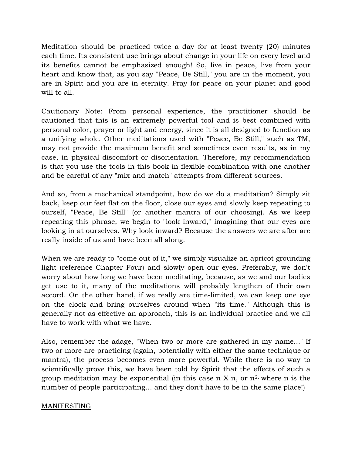Meditation should be practiced twice a day for at least twenty (20) minutes each time. Its consistent use brings about change in your life on every level and its benefits cannot be emphasized enough! So, live in peace, live from your heart and know that, as you say "Peace, Be Still," you are in the moment, you are in Spirit and you are in eternity. Pray for peace on your planet and good will to all.

Cautionary Note: From personal experience, the practitioner should be cautioned that this is an extremely powerful tool and is best combined with personal color, prayer or light and energy, since it is all designed to function as a unifying whole. Other meditations used with "Peace, Be Still," such as TM, may not provide the maximum benefit and sometimes even results, as in my case, in physical discomfort or disorientation. Therefore, my recommendation is that you use the tools in this book in flexible combination with one another and be careful of any "mix-and-match" attempts from different sources.

And so, from a mechanical standpoint, how do we do a meditation? Simply sit back, keep our feet flat on the floor, close our eyes and slowly keep repeating to ourself, "Peace, Be Still" (or another mantra of our choosing). As we keep repeating this phrase, we begin to "look inward," imagining that our eyes are looking in at ourselves. Why look inward? Because the answers we are after are really inside of us and have been all along.

When we are ready to "come out of it," we simply visualize an apricot grounding light (reference Chapter Four) and slowly open our eyes. Preferably, we don't worry about how long we have been meditating, because, as we and our bodies get use to it, many of the meditations will probably lengthen of their own accord. On the other hand, if we really are time-limited, we can keep one eye on the clock and bring ourselves around when "its time." Although this is generally not as effective an approach, this is an individual practice and we all have to work with what we have.

Also, remember the adage, "When two or more are gathered in my name..." If two or more are practicing (again, potentially with either the same technique or mantra), the process becomes even more powerful. While there is no way to scientifically prove this, we have been told by Spirit that the effects of such a group meditation may be exponential (in this case n X n, or  $n^2$ , where n is the number of people participating... and they don't have to be in the same place!)

## MANIFESTING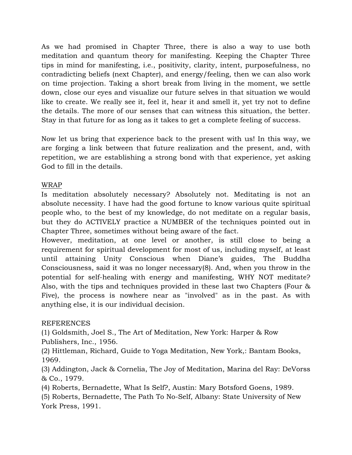As we had promised in Chapter Three, there is also a way to use both meditation and quantum theory for manifesting. Keeping the Chapter Three tips in mind for manifesting, i.e., positivity, clarity, intent, purposefulness, no contradicting beliefs (next Chapter), and energy/feeling, then we can also work on time projection. Taking a short break from living in the moment, we settle down, close our eyes and visualize our future selves in that situation we would like to create. We really see it, feel it, hear it and smell it, yet try not to define the details. The more of our senses that can witness this situation, the better. Stay in that future for as long as it takes to get a complete feeling of success.

Now let us bring that experience back to the present with us! In this way, we are forging a link between that future realization and the present, and, with repetition, we are establishing a strong bond with that experience, yet asking God to fill in the details.

### WRAP

Is meditation absolutely necessary? Absolutely not. Meditating is not an absolute necessity. I have had the good fortune to know various quite spiritual people who, to the best of my knowledge, do not meditate on a regular basis, but they do ACTIVELY practice a NUMBER of the techniques pointed out in Chapter Three, sometimes without being aware of the fact.

However, meditation, at one level or another, is still close to being a requirement for spiritual development for most of us, including myself, at least until attaining Unity Conscious when Diane's guides, The Buddha Consciousness, said it was no longer necessary(8). And, when you throw in the potential for self-healing with energy and manifesting, WHY NOT meditate? Also, with the tips and techniques provided in these last two Chapters (Four & Five), the process is nowhere near as "involved" as in the past. As with anything else, it is our individual decision.

#### **REFERENCES**

(1) Goldsmith, Joel S., The Art of Meditation, New York: Harper & Row Publishers, Inc., 1956.

(2) Hittleman, Richard, Guide to Yoga Meditation, New York,: Bantam Books, 1969.

(3) Addington, Jack & Cornelia, The Joy of Meditation, Marina del Ray: DeVorss & Co., 1979.

(4) Roberts, Bernadette, What Is Self?, Austin: Mary Botsford Goens, 1989.

(5) Roberts, Bernadette, The Path To No-Self, Albany: State University of New York Press, 1991.